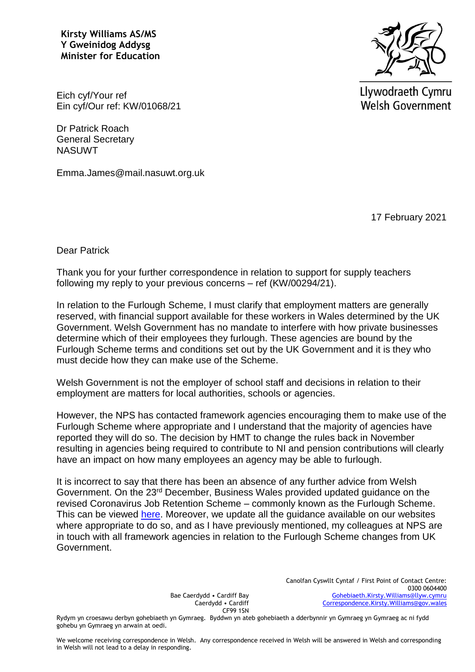**Kirsty Williams AS/MS Y Gweinidog Addysg Minister for Education**



Llywodraeth Cymru **Welsh Government** 

Eich cyf/Your ref Ein cyf/Our ref: KW/01068/21

Dr Patrick Roach General Secretary NASUWT

Emma.James@mail.nasuwt.org.uk

17 February 2021

Dear Patrick

Thank you for your further correspondence in relation to support for supply teachers following my reply to your previous concerns – ref (KW/00294/21).

In relation to the Furlough Scheme, I must clarify that employment matters are generally reserved, with financial support available for these workers in Wales determined by the UK Government. Welsh Government has no mandate to interfere with how private businesses determine which of their employees they furlough. These agencies are bound by the Furlough Scheme terms and conditions set out by the UK Government and it is they who must decide how they can make use of the Scheme.

Welsh Government is not the employer of school staff and decisions in relation to their employment are matters for local authorities, schools or agencies.

However, the NPS has contacted framework agencies encouraging them to make use of the Furlough Scheme where appropriate and I understand that the majority of agencies have reported they will do so. The decision by HMT to change the rules back in November resulting in agencies being required to contribute to NI and pension contributions will clearly have an impact on how many employees an agency may be able to furlough.

It is incorrect to say that there has been an absence of any further advice from Welsh Government. On the 23rd December, Business Wales provided updated guidance on the revised Coronavirus Job Retention Scheme – commonly known as the Furlough Scheme. This can be viewed [here.](https://businesswales.gov.wales/news-and-blogs/news/coronavirus-job-retention-scheme-updated-guidance) Moreover, we update all the quidance available on our websites where appropriate to do so, and as I have previously mentioned, my colleagues at NPS are in touch with all framework agencies in relation to the Furlough Scheme changes from UK Government.

> Bae Caerdydd • Cardiff Bay Caerdydd • Cardiff CF99 1SN

Canolfan Cyswllt Cyntaf / First Point of Contact Centre: 0300 0604400 [Gohebiaeth.Kirsty.Williams@llyw.cymru](mailto:Gohebiaeth.Kirsty.Williams@llyw.cymru)  [Correspondence.Kirsty.Williams@gov.wales](mailto:Correspondence.Kirsty.Williams@gov.wales)

Rydym yn croesawu derbyn gohebiaeth yn Gymraeg. Byddwn yn ateb gohebiaeth a dderbynnir yn Gymraeg yn Gymraeg ac ni fydd gohebu yn Gymraeg yn arwain at oedi.

We welcome receiving correspondence in Welsh. Any correspondence received in Welsh will be answered in Welsh and corresponding in Welsh will not lead to a delay in responding.